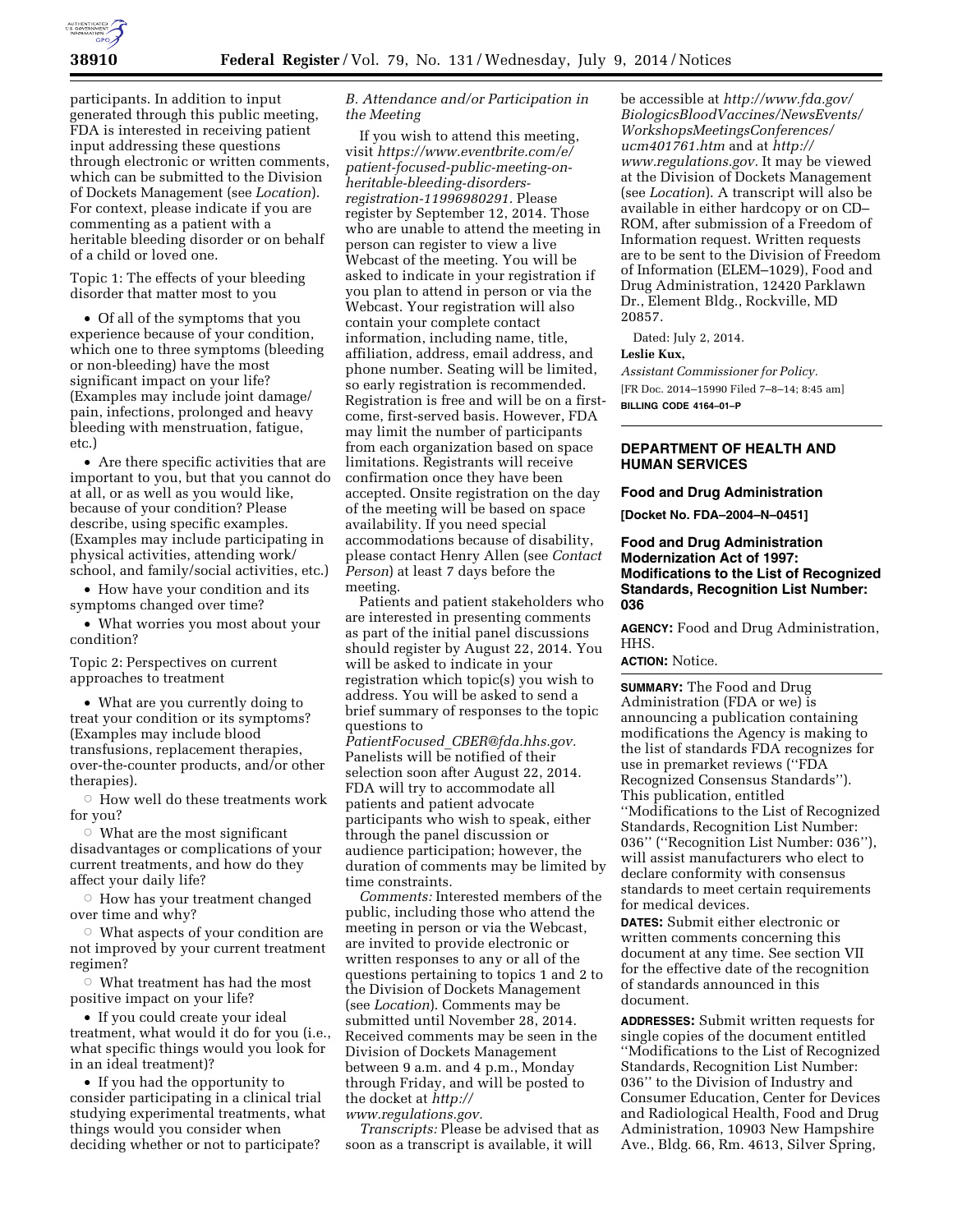

participants. In addition to input generated through this public meeting, FDA is interested in receiving patient input addressing these questions through electronic or written comments, which can be submitted to the Division of Dockets Management (see *Location*). For context, please indicate if you are commenting as a patient with a heritable bleeding disorder or on behalf of a child or loved one.

Topic 1: The effects of your bleeding disorder that matter most to you

• Of all of the symptoms that you experience because of your condition, which one to three symptoms (bleeding or non-bleeding) have the most significant impact on your life? (Examples may include joint damage/ pain, infections, prolonged and heavy bleeding with menstruation, fatigue, etc.)

• Are there specific activities that are important to you, but that you cannot do at all, or as well as you would like, because of your condition? Please describe, using specific examples. (Examples may include participating in physical activities, attending work/ school, and family/social activities, etc.)

• How have your condition and its symptoms changed over time?

• What worries you most about your condition?

Topic 2: Perspectives on current approaches to treatment

• What are you currently doing to treat your condition or its symptoms? (Examples may include blood transfusions, replacement therapies, over-the-counter products, and/or other therapies).

 $\circ$  How well do these treatments work for you?

 $\circ$  What are the most significant disadvantages or complications of your current treatments, and how do they affect your daily life?

 $\circ$  How has your treatment changed over time and why?

 $\circ$  What aspects of your condition are not improved by your current treatment regimen?

 $\circ$  What treatment has had the most positive impact on your life?

• If you could create your ideal treatment, what would it do for you (i.e., what specific things would you look for in an ideal treatment)?

• If you had the opportunity to consider participating in a clinical trial studying experimental treatments, what things would you consider when deciding whether or not to participate?

### *B. Attendance and/or Participation in the Meeting*

If you wish to attend this meeting, visit *[https://www.eventbrite.com/e/](https://www.eventbrite.com/e/patient-focused-public-meeting-on-heritable-bleeding-disorders-registration-11996980291)  [patient-focused-public-meeting-on](https://www.eventbrite.com/e/patient-focused-public-meeting-on-heritable-bleeding-disorders-registration-11996980291)heritable-bleeding-disorders[registration-11996980291.](https://www.eventbrite.com/e/patient-focused-public-meeting-on-heritable-bleeding-disorders-registration-11996980291)* Please register by September 12, 2014. Those who are unable to attend the meeting in person can register to view a live Webcast of the meeting. You will be asked to indicate in your registration if you plan to attend in person or via the Webcast. Your registration will also contain your complete contact information, including name, title, affiliation, address, email address, and phone number. Seating will be limited, so early registration is recommended. Registration is free and will be on a firstcome, first-served basis. However, FDA may limit the number of participants from each organization based on space limitations. Registrants will receive confirmation once they have been accepted. Onsite registration on the day of the meeting will be based on space availability. If you need special accommodations because of disability, please contact Henry Allen (see *Contact Person*) at least 7 days before the meeting.

Patients and patient stakeholders who are interested in presenting comments as part of the initial panel discussions should register by August 22, 2014. You will be asked to indicate in your registration which topic(s) you wish to address. You will be asked to send a brief summary of responses to the topic questions to

*PatientFocused*\_*[CBER@fda.hhs.gov.](mailto:PatientFocused_CBER@fda.hhs.gov)*  Panelists will be notified of their selection soon after August 22, 2014. FDA will try to accommodate all patients and patient advocate participants who wish to speak, either through the panel discussion or audience participation; however, the duration of comments may be limited by time constraints.

*Comments:* Interested members of the public, including those who attend the meeting in person or via the Webcast, are invited to provide electronic or written responses to any or all of the questions pertaining to topics 1 and 2 to the Division of Dockets Management (see *Location*). Comments may be submitted until November 28, 2014. Received comments may be seen in the Division of Dockets Management between 9 a.m. and 4 p.m., Monday through Friday, and will be posted to the docket at *[http://](http://www.regulations.gov)  [www.regulations.gov.](http://www.regulations.gov)* 

*Transcripts:* Please be advised that as soon as a transcript is available, it will

be accessible at *[http://www.fda.gov/](http://www.fda.gov/BiologicsBloodVaccines/NewsEvents/WorkshopsMeetingsConferences/ucm401761.htm) [BiologicsBloodVaccines/NewsEvents/](http://www.fda.gov/BiologicsBloodVaccines/NewsEvents/WorkshopsMeetingsConferences/ucm401761.htm) [WorkshopsMeetingsConferences/](http://www.fda.gov/BiologicsBloodVaccines/NewsEvents/WorkshopsMeetingsConferences/ucm401761.htm)  [ucm401761.htm](http://www.fda.gov/BiologicsBloodVaccines/NewsEvents/WorkshopsMeetingsConferences/ucm401761.htm)* and at *[http://](http://www.regulations.gov)  [www.regulations.gov.](http://www.regulations.gov)* It may be viewed at the Division of Dockets Management (see *Location*). A transcript will also be available in either hardcopy or on CD– ROM, after submission of a Freedom of Information request. Written requests are to be sent to the Division of Freedom of Information (ELEM–1029), Food and Drug Administration, 12420 Parklawn Dr., Element Bldg., Rockville, MD 20857.

Dated: July 2, 2014.

### **Leslie Kux,**

*Assistant Commissioner for Policy.*  [FR Doc. 2014–15990 Filed 7–8–14; 8:45 am] **BILLING CODE 4164–01–P** 

### **DEPARTMENT OF HEALTH AND HUMAN SERVICES**

#### **Food and Drug Administration**

**[Docket No. FDA–2004–N–0451]** 

### **Food and Drug Administration Modernization Act of 1997: Modifications to the List of Recognized Standards, Recognition List Number: 036**

**AGENCY:** Food and Drug Administration, HHS.

### **ACTION:** Notice.

**SUMMARY:** The Food and Drug Administration (FDA or we) is announcing a publication containing modifications the Agency is making to the list of standards FDA recognizes for use in premarket reviews (''FDA Recognized Consensus Standards''). This publication, entitled ''Modifications to the List of Recognized Standards, Recognition List Number: 036'' (''Recognition List Number: 036''), will assist manufacturers who elect to declare conformity with consensus standards to meet certain requirements for medical devices.

**DATES:** Submit either electronic or written comments concerning this document at any time. See section VII for the effective date of the recognition of standards announced in this document.

**ADDRESSES:** Submit written requests for single copies of the document entitled ''Modifications to the List of Recognized Standards, Recognition List Number: 036'' to the Division of Industry and Consumer Education, Center for Devices and Radiological Health, Food and Drug Administration, 10903 New Hampshire Ave., Bldg. 66, Rm. 4613, Silver Spring,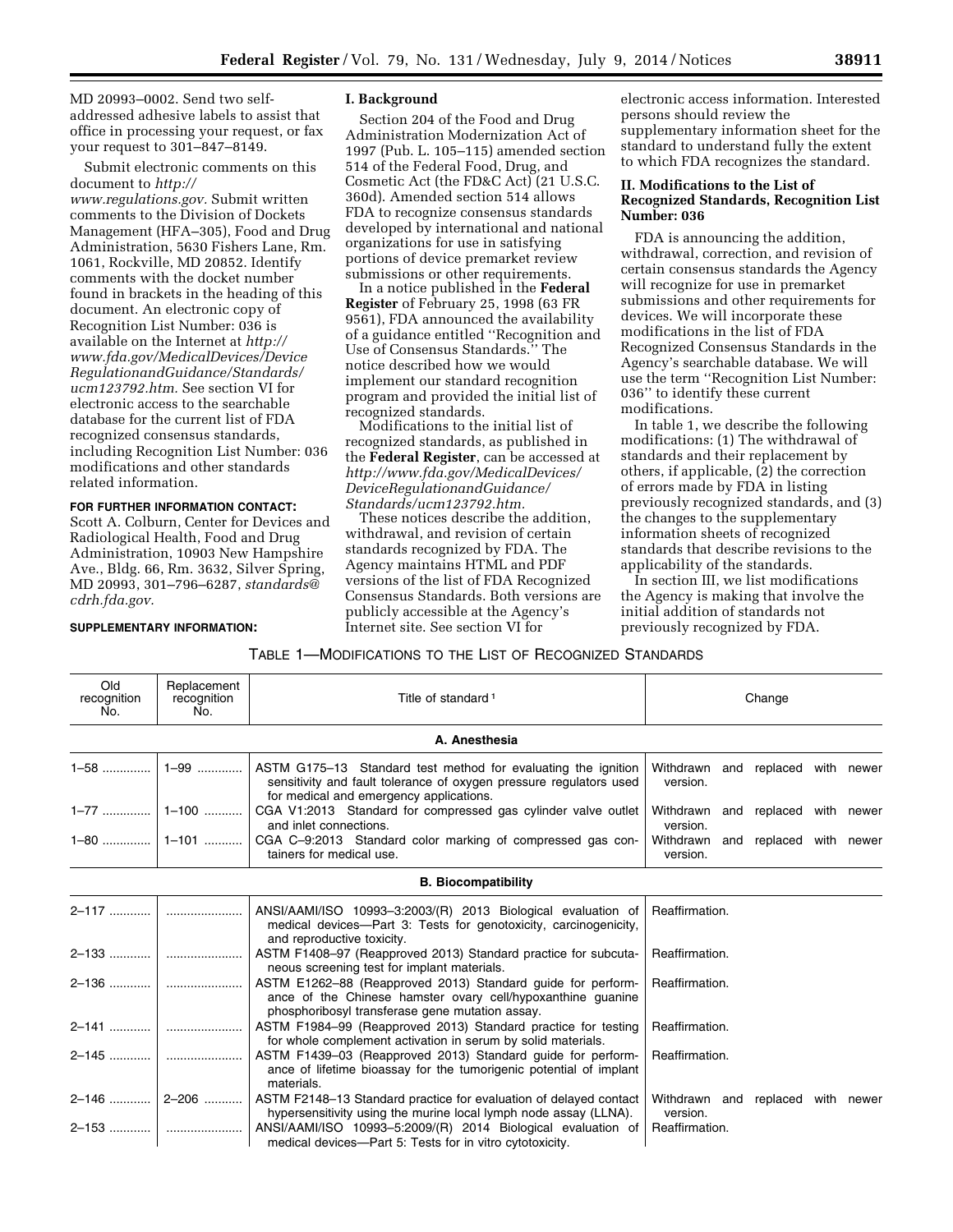MD 20993–0002. Send two selfaddressed adhesive labels to assist that office in processing your request, or fax your request to 301–847–8149.

Submit electronic comments on this document to *[http://](http://www.regulations.gov) [www.regulations.gov.](http://www.regulations.gov)* Submit written comments to the Division of Dockets Management (HFA–305), Food and Drug Administration, 5630 Fishers Lane, Rm. 1061, Rockville, MD 20852. Identify comments with the docket number found in brackets in the heading of this document. An electronic copy of Recognition List Number: 036 is available on the Internet at *[http://](http://www.fda.gov/MedicalDevices/DeviceRegulationandGuidance/Standards/ucm123792.htm) [www.fda.gov/MedicalDevices/Device](http://www.fda.gov/MedicalDevices/DeviceRegulationandGuidance/Standards/ucm123792.htm) [RegulationandGuidance/Standards/](http://www.fda.gov/MedicalDevices/DeviceRegulationandGuidance/Standards/ucm123792.htm) [ucm123792.htm.](http://www.fda.gov/MedicalDevices/DeviceRegulationandGuidance/Standards/ucm123792.htm)* See section VI for electronic access to the searchable database for the current list of FDA recognized consensus standards, including Recognition List Number: 036 modifications and other standards related information.

### **FOR FURTHER INFORMATION CONTACT:**

Scott A. Colburn, Center for Devices and Radiological Health, Food and Drug Administration, 10903 New Hampshire Ave., Bldg. 66, Rm. 3632, Silver Spring, MD 20993, 301–796–6287, *[standards@](mailto:standards@cdrh.fda.gov) [cdrh.fda.gov.](mailto:standards@cdrh.fda.gov)* 

### **SUPPLEMENTARY INFORMATION:**

#### **I. Background**

Section 204 of the Food and Drug Administration Modernization Act of 1997 (Pub. L. 105–115) amended section 514 of the Federal Food, Drug, and Cosmetic Act (the FD&C Act) (21 U.S.C. 360d). Amended section 514 allows FDA to recognize consensus standards developed by international and national organizations for use in satisfying portions of device premarket review submissions or other requirements.

In a notice published in the **Federal Register** of February 25, 1998 (63 FR 9561), FDA announced the availability of a guidance entitled ''Recognition and Use of Consensus Standards.'' The notice described how we would implement our standard recognition program and provided the initial list of recognized standards.

Modifications to the initial list of recognized standards, as published in the **Federal Register**, can be accessed at *[http://www.fda.gov/MedicalDevices/](http://www.fda.gov/MedicalDevices/DeviceRegulationandGuidance/Standards/ucm123792.htm) [DeviceRegulationandGuidance/](http://www.fda.gov/MedicalDevices/DeviceRegulationandGuidance/Standards/ucm123792.htm) [Standards/ucm123792.htm.](http://www.fda.gov/MedicalDevices/DeviceRegulationandGuidance/Standards/ucm123792.htm)* 

These notices describe the addition, withdrawal, and revision of certain standards recognized by FDA. The Agency maintains HTML and PDF versions of the list of FDA Recognized Consensus Standards. Both versions are publicly accessible at the Agency's Internet site. See section VI for

electronic access information. Interested persons should review the supplementary information sheet for the standard to understand fully the extent to which FDA recognizes the standard.

### **II. Modifications to the List of Recognized Standards, Recognition List Number: 036**

FDA is announcing the addition, withdrawal, correction, and revision of certain consensus standards the Agency will recognize for use in premarket submissions and other requirements for devices. We will incorporate these modifications in the list of FDA Recognized Consensus Standards in the Agency's searchable database. We will use the term ''Recognition List Number: 036'' to identify these current modifications.

In table 1, we describe the following modifications: (1) The withdrawal of standards and their replacement by others, if applicable, (2) the correction of errors made by FDA in listing previously recognized standards, and (3) the changes to the supplementary information sheets of recognized standards that describe revisions to the applicability of the standards.

In section III, we list modifications the Agency is making that involve the initial addition of standards not previously recognized by FDA.

| Old<br>recognition<br>No. | Replacement<br>recognition<br>No. | Title of standard <sup>1</sup>                                                                                                                                                 | Change                                        |                         |  |  |
|---------------------------|-----------------------------------|--------------------------------------------------------------------------------------------------------------------------------------------------------------------------------|-----------------------------------------------|-------------------------|--|--|
|                           |                                   | A. Anesthesia                                                                                                                                                                  |                                               |                         |  |  |
| $1 - 58$                  | 1-99                              | ASTM G175-13 Standard test method for evaluating the ignition<br>sensitivity and fault tolerance of oxygen pressure regulators used<br>for medical and emergency applications. | Withdrawn and replaced with newer<br>version. |                         |  |  |
| $1 - 77$                  | 1-100                             | CGA V1:2013 Standard for compressed gas cylinder valve outlet<br>and inlet connections.                                                                                        | Withdrawn and replaced with newer<br>version. |                         |  |  |
|                           | $1 - 101$                         | CGA C-9:2013 Standard color marking of compressed gas con-<br>tainers for medical use.                                                                                         | Withdrawn<br>version.                         | and replaced with newer |  |  |
|                           |                                   | <b>B. Biocompatibility</b>                                                                                                                                                     |                                               |                         |  |  |
| $2 - 117$                 |                                   | ANSI/AAMI/ISO 10993-3:2003/(R) 2013 Biological evaluation of<br>medical devices—Part 3: Tests for genotoxicity, carcinogenicity,<br>and reproductive toxicity.                 | Reaffirmation.                                |                         |  |  |
| 2–133                     |                                   | ASTM F1408-97 (Reapproved 2013) Standard practice for subcuta-<br>neous screening test for implant materials.                                                                  | Reaffirmation.                                |                         |  |  |
| $2 - 136$                 |                                   | ASTM E1262-88 (Reapproved 2013) Standard quide for perform-<br>ance of the Chinese hamster ovary cell/hypoxanthine guanine<br>phosphoribosyl transferase gene mutation assay.  | Reaffirmation.                                |                         |  |  |
| 2-141                     |                                   | ASTM F1984-99 (Reapproved 2013) Standard practice for testing<br>for whole complement activation in serum by solid materials.                                                  | Reaffirmation.                                |                         |  |  |
| 2-145                     |                                   | ASTM F1439-03 (Reapproved 2013) Standard quide for perform-<br>ance of lifetime bioassay for the tumorigenic potential of implant<br>materials.                                | Reaffirmation.                                |                         |  |  |
| 2-146                     | 2-206                             | ASTM F2148-13 Standard practice for evaluation of delayed contact<br>hypersensitivity using the murine local lymph node assay (LLNA).                                          | Withdrawn and replaced with newer<br>version. |                         |  |  |
| 2-153                     |                                   | ANSI/AAMI/ISO 10993-5:2009/(R) 2014 Biological evaluation of<br>medical devices-Part 5: Tests for in vitro cytotoxicity.                                                       | Reaffirmation.                                |                         |  |  |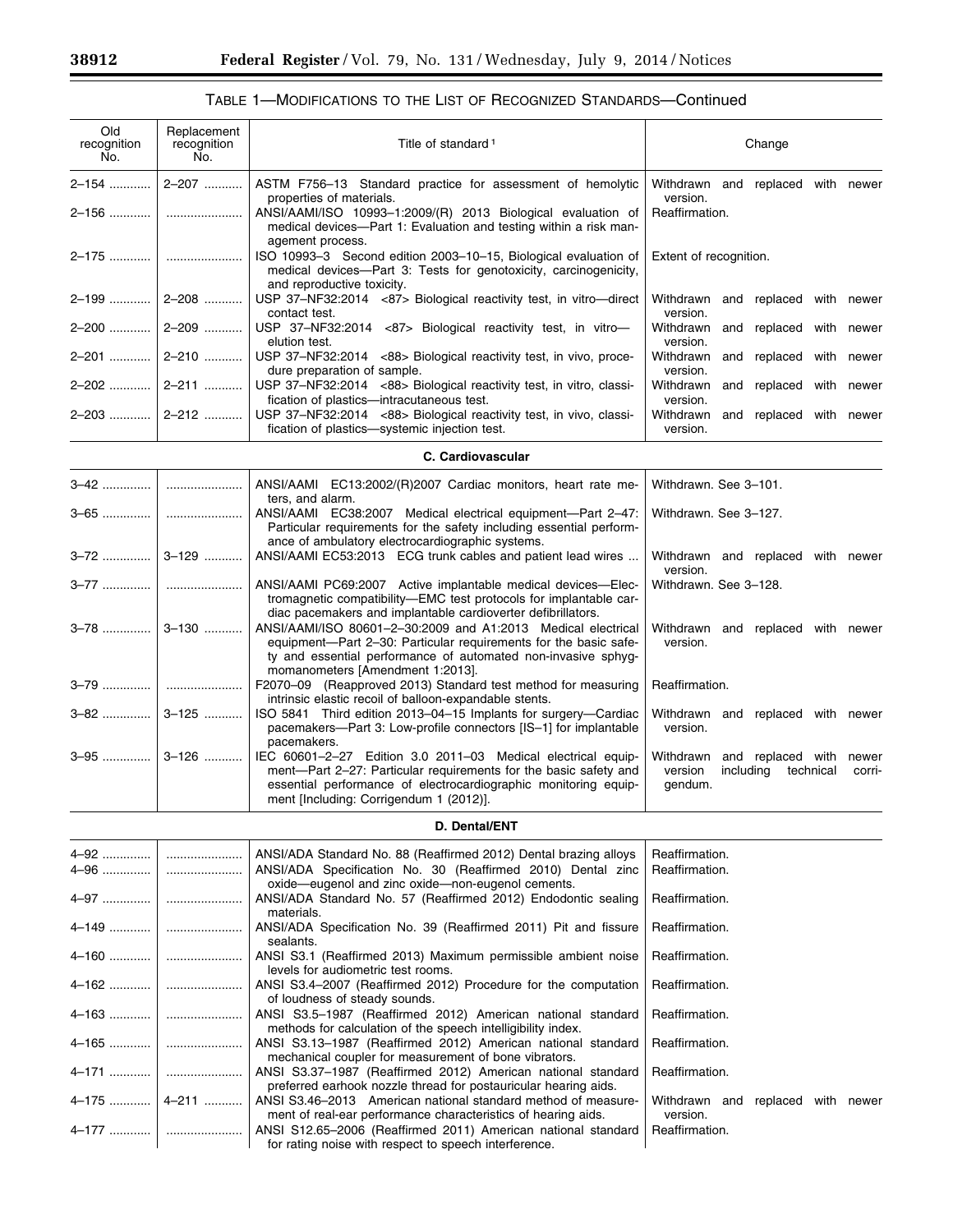۳

| Old<br>recognition<br>No. | Replacement<br>recognition<br>No. | Title of standard <sup>1</sup>                                                                                                                                                                                                                 | Change                                                                                            |  |  |
|---------------------------|-----------------------------------|------------------------------------------------------------------------------------------------------------------------------------------------------------------------------------------------------------------------------------------------|---------------------------------------------------------------------------------------------------|--|--|
| 2-154                     | 2-207                             | ASTM F756-13 Standard practice for assessment of hemolytic<br>properties of materials.                                                                                                                                                         | Withdrawn and replaced with newer<br>version.                                                     |  |  |
| 2-156                     |                                   | ANSI/AAMI/ISO 10993-1:2009/(R) 2013 Biological evaluation of<br>medical devices-Part 1: Evaluation and testing within a risk man-<br>agement process.                                                                                          | Reaffirmation.                                                                                    |  |  |
| 2–175                     |                                   | ISO 10993-3 Second edition 2003-10-15, Biological evaluation of<br>medical devices-Part 3: Tests for genotoxicity, carcinogenicity,                                                                                                            | Extent of recognition.                                                                            |  |  |
| 2-199                     | 2-208                             | and reproductive toxicity.<br>USP 37-NF32:2014 <87> Biological reactivity test, in vitro-direct<br>contact test.                                                                                                                               | Withdrawn<br>replaced with newer<br>and<br>version.                                               |  |  |
| 2-200                     | 2-209                             | USP 37-NF32:2014 <87> Biological reactivity test, in vitro-<br>elution test.                                                                                                                                                                   | Withdrawn<br>replaced with<br>and<br>newer<br>version.                                            |  |  |
| 2-201                     | 2-210                             | USP 37-NF32:2014 <88> Biological reactivity test, in vivo, proce-<br>dure preparation of sample.                                                                                                                                               | Withdrawn<br>and replaced with newer<br>version.                                                  |  |  |
| 2-202                     | 2-211                             | USP 37-NF32:2014 <88> Biological reactivity test, in vitro, classi-<br>fication of plastics-intracutaneous test.                                                                                                                               | Withdrawn<br>and replaced<br>with newer<br>version.                                               |  |  |
| 2–203                     | 2-212                             | USP 37-NF32:2014 <88> Biological reactivity test, in vivo, classi-<br>fication of plastics-systemic injection test.                                                                                                                            | and replaced with newer<br>Withdrawn<br>version.                                                  |  |  |
|                           |                                   | C. Cardiovascular                                                                                                                                                                                                                              |                                                                                                   |  |  |
| 3–42                      |                                   | ANSI/AAMI EC13:2002/(R)2007 Cardiac monitors, heart rate me-<br>ters, and alarm.                                                                                                                                                               | Withdrawn. See 3-101.                                                                             |  |  |
| 3–65                      |                                   | ANSI/AAMI EC38:2007 Medical electrical equipment-Part 2-47:<br>Particular requirements for the safety including essential perform-<br>ance of ambulatory electrocardiographic systems.                                                         | Withdrawn. See 3-127.                                                                             |  |  |
| 3-72                      | 3-129                             | ANSI/AAMI EC53:2013 ECG trunk cables and patient lead wires                                                                                                                                                                                    | Withdrawn and replaced with newer<br>version.                                                     |  |  |
| 3–77                      |                                   | ANSI/AAMI PC69:2007 Active implantable medical devices-Elec-<br>tromagnetic compatibility-EMC test protocols for implantable car-<br>diac pacemakers and implantable cardioverter defibrillators.                                              | Withdrawn. See 3-128.                                                                             |  |  |
| $3 - 78$                  | $3 - 130$                         | ANSI/AAMI/ISO 80601-2-30:2009 and A1:2013 Medical electrical<br>equipment-Part 2-30: Particular requirements for the basic safe-<br>ty and essential performance of automated non-invasive sphyg-<br>momanometers [Amendment 1:2013].          | Withdrawn and replaced with newer<br>version.                                                     |  |  |
| 3–79                      |                                   | F2070-09 (Reapproved 2013) Standard test method for measuring<br>intrinsic elastic recoil of balloon-expandable stents.                                                                                                                        | Reaffirmation.                                                                                    |  |  |
| 3-82                      | 3-125                             | ISO 5841 Third edition 2013-04-15 Implants for surgery-Cardiac<br>pacemakers-Part 3: Low-profile connectors [IS-1] for implantable<br>pacemakers.                                                                                              | Withdrawn and replaced with newer<br>version.                                                     |  |  |
| $3 - 95$                  | $3 - 126$                         | IEC 60601-2-27 Edition 3.0 2011-03 Medical electrical equip-<br>ment-Part 2-27: Particular requirements for the basic safety and<br>essential performance of electrocardiographic monitoring equip-<br>ment [Including: Corrigendum 1 (2012)]. | and replaced with<br>Withdrawn<br>newer<br>version<br>including<br>technical<br>corri-<br>gendum. |  |  |
|                           |                                   | D. Dental/ENT                                                                                                                                                                                                                                  |                                                                                                   |  |  |
| 4-92<br>4-96              |                                   | ANSI/ADA Standard No. 88 (Reaffirmed 2012) Dental brazing alloys<br>ANSI/ADA Specification No. 30 (Reaffirmed 2010) Dental zinc<br>oxide-eugenol and zinc oxide-non-eugenol cements.                                                           | Reaffirmation.<br>Reaffirmation.                                                                  |  |  |
| 4-97                      |                                   | ANSI/ADA Standard No. 57 (Reaffirmed 2012) Endodontic sealing<br>materials.                                                                                                                                                                    | Reaffirmation.                                                                                    |  |  |
| 4-149                     |                                   | ANSI/ADA Specification No. 39 (Reaffirmed 2011) Pit and fissure<br>sealants.                                                                                                                                                                   | Reaffirmation.                                                                                    |  |  |
| $4 - 160$                 |                                   | ANSI S3.1 (Reaffirmed 2013) Maximum permissible ambient noise<br>levels for audiometric test rooms.                                                                                                                                            | Reaffirmation.                                                                                    |  |  |
| 4-162                     |                                   | ANSI S3.4-2007 (Reaffirmed 2012) Procedure for the computation<br>of loudness of steady sounds.                                                                                                                                                | Reaffirmation.                                                                                    |  |  |
|                           |                                   | ANSI S3.5-1987 (Reaffirmed 2012) American national standard<br>methods for calculation of the speech intelligibility index.                                                                                                                    | Reaffirmation.                                                                                    |  |  |
| 4–165                     |                                   | ANSI S3.13-1987 (Reaffirmed 2012) American national standard<br>mechanical coupler for measurement of bone vibrators.                                                                                                                          | Reaffirmation.                                                                                    |  |  |
| 4-171                     |                                   | ANSI S3.37-1987 (Reaffirmed 2012) American national standard<br>preferred earhook nozzle thread for postauricular hearing aids.                                                                                                                | Reaffirmation.                                                                                    |  |  |
| 4-175                     | 4-211                             | ANSI S3.46-2013 American national standard method of measure-<br>ment of real-ear performance characteristics of hearing aids.                                                                                                                 | Withdrawn and replaced with newer<br>version.                                                     |  |  |
| 4–177                     |                                   | ANSI S12.65-2006 (Reaffirmed 2011) American national standard<br>for rating noise with respect to speech interference.                                                                                                                         | Reaffirmation.                                                                                    |  |  |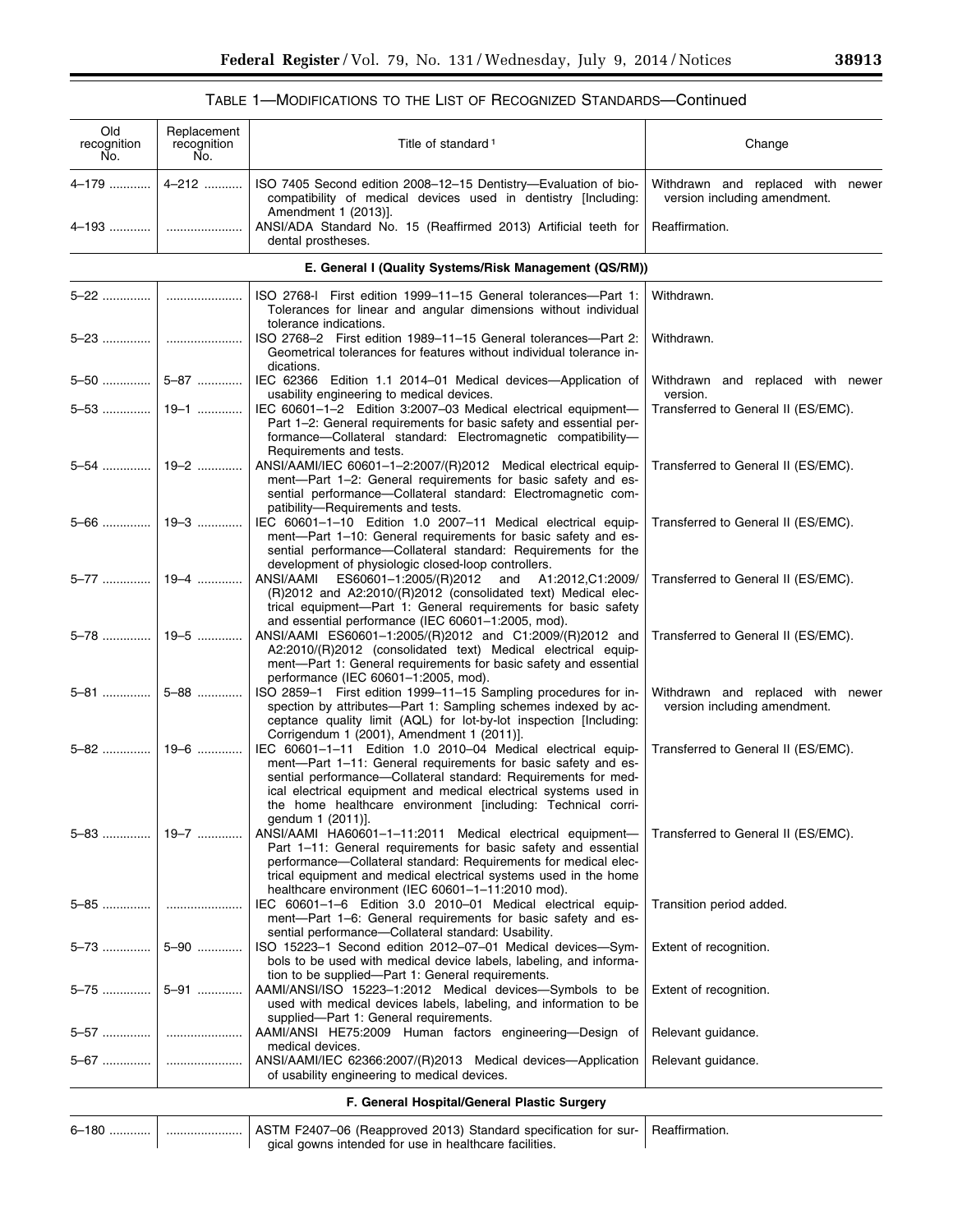$\equiv$ 

| Old<br>recognition<br>Ño. | Replacement<br>recognition<br>No. | Title of standard <sup>1</sup>                                                                                                                                                                                                                                                                                                                           | Change                                                            |
|---------------------------|-----------------------------------|----------------------------------------------------------------------------------------------------------------------------------------------------------------------------------------------------------------------------------------------------------------------------------------------------------------------------------------------------------|-------------------------------------------------------------------|
| 4–179                     | 4-212                             | ISO 7405 Second edition 2008-12-15 Dentistry-Evaluation of bio-<br>compatibility of medical devices used in dentistry [Including:<br>Amendment 1 (2013)].                                                                                                                                                                                                | Withdrawn and replaced with newer<br>version including amendment. |
|                           |                                   | ANSI/ADA Standard No. 15 (Reaffirmed 2013) Artificial teeth for<br>dental prostheses.                                                                                                                                                                                                                                                                    | Reaffirmation.                                                    |
|                           |                                   | E. General I (Quality Systems/Risk Management (QS/RM))                                                                                                                                                                                                                                                                                                   |                                                                   |
| 5-22                      |                                   | ISO 2768-I First edition 1999-11-15 General tolerances-Part 1:<br>Tolerances for linear and angular dimensions without individual<br>tolerance indications.                                                                                                                                                                                              | Withdrawn.                                                        |
|                           |                                   | ISO 2768-2 First edition 1989-11-15 General tolerances-Part 2:<br>Geometrical tolerances for features without individual tolerance in-<br>dications.                                                                                                                                                                                                     | Withdrawn.                                                        |
|                           | $5-50$   5-87                     | IEC 62366 Edition 1.1 2014-01 Medical devices-Application of                                                                                                                                                                                                                                                                                             | Withdrawn and replaced with newer<br>version.                     |
|                           | $5-53$   19-1                     | usability engineering to medical devices.<br>IEC 60601-1-2 Edition 3:2007-03 Medical electrical equipment-<br>Part 1-2: General requirements for basic safety and essential per-<br>formance-Collateral standard: Electromagnetic compatibility-<br>Requirements and tests.                                                                              | Transferred to General II (ES/EMC).                               |
|                           |                                   | ANSI/AAMI/IEC 60601-1-2:2007/(R)2012 Medical electrical equip-<br>ment-Part 1-2: General requirements for basic safety and es-<br>sential performance-Collateral standard: Electromagnetic com-<br>patibility-Requirements and tests.                                                                                                                    | Transferred to General II (ES/EMC).                               |
|                           |                                   | IEC 60601-1-10 Edition 1.0 2007-11 Medical electrical equip-<br>ment-Part 1-10: General requirements for basic safety and es-<br>sential performance-Collateral standard: Requirements for the<br>development of physiologic closed-loop controllers.                                                                                                    | Transferred to General II (ES/EMC).                               |
| 5–77                      | 19-4                              | ANSI/AAMI<br>ES60601-1:2005/(R)2012 and A1:2012,C1:2009/<br>(R)2012 and A2:2010/(R)2012 (consolidated text) Medical elec-<br>trical equipment-Part 1: General requirements for basic safety<br>and essential performance (IEC 60601-1:2005, mod).                                                                                                        | Transferred to General II (ES/EMC).                               |
| 5–78 ……………                | 19–5                              | ANSI/AAMI ES60601-1:2005/(R)2012 and C1:2009/(R)2012 and<br>A2:2010/(R)2012 (consolidated text) Medical electrical equip-<br>ment-Part 1: General requirements for basic safety and essential<br>performance (IEC 60601-1:2005, mod).                                                                                                                    | Transferred to General II (ES/EMC).                               |
| 5–81                      | 5-88                              | ISO 2859-1 First edition 1999-11-15 Sampling procedures for in-<br>spection by attributes—Part 1: Sampling schemes indexed by ac-<br>ceptance quality limit (AQL) for lot-by-lot inspection [Including:<br>Corrigendum 1 (2001), Amendment 1 (2011)].                                                                                                    | Withdrawn and replaced with newer<br>version including amendment. |
| 5–82                      | 19-6                              | IEC 60601-1-11 Edition 1.0 2010-04 Medical electrical equip-<br>ment-Part 1-11: General requirements for basic safety and es-<br>sential performance-Collateral standard: Requirements for med-<br>ical electrical equipment and medical electrical systems used in<br>the home healthcare environment [including: Technical corri-<br>gendum 1 (2011)]. | Transferred to General II (ES/EMC).                               |
| 5-83                      | 19–7                              | ANSI/AAMI HA60601-1-11:2011 Medical electrical equipment-<br>Part 1-11: General requirements for basic safety and essential<br>performance-Collateral standard: Requirements for medical elec-<br>trical equipment and medical electrical systems used in the home<br>healthcare environment (IEC 60601-1-11:2010 mod).                                  | Transferred to General II (ES/EMC).                               |
| 5-85                      |                                   | IEC 60601-1-6 Edition 3.0 2010-01 Medical electrical equip-<br>ment-Part 1-6: General requirements for basic safety and es-<br>sential performance-Collateral standard: Usability.                                                                                                                                                                       | Transition period added.                                          |
|                           | 5–73    5–90                      | ISO 15223-1 Second edition 2012-07-01 Medical devices-Sym-<br>bols to be used with medical device labels, labeling, and informa-<br>tion to be supplied-Part 1: General requirements.                                                                                                                                                                    | Extent of recognition.                                            |
| 5–75                      | 5-91                              | AAMI/ANSI/ISO 15223-1:2012 Medical devices-Symbols to be<br>used with medical devices labels, labeling, and information to be<br>supplied-Part 1: General requirements.                                                                                                                                                                                  | Extent of recognition.                                            |
|                           |                                   | AAMI/ANSI HE75:2009 Human factors engineering-Design of<br>medical devices.                                                                                                                                                                                                                                                                              | Relevant guidance.                                                |
| 5-67                      |                                   | ANSI/AAMI/IEC 62366:2007/(R)2013 Medical devices-Application<br>of usability engineering to medical devices.                                                                                                                                                                                                                                             | Relevant guidance.                                                |
|                           |                                   | F. General Hospital/General Plastic Surgery                                                                                                                                                                                                                                                                                                              |                                                                   |
| 6-180                     |                                   | ASTM F2407-06 (Reapproved 2013) Standard specification for sur-<br>gical gowns intended for use in healthcare facilities.                                                                                                                                                                                                                                | Reaffirmation.                                                    |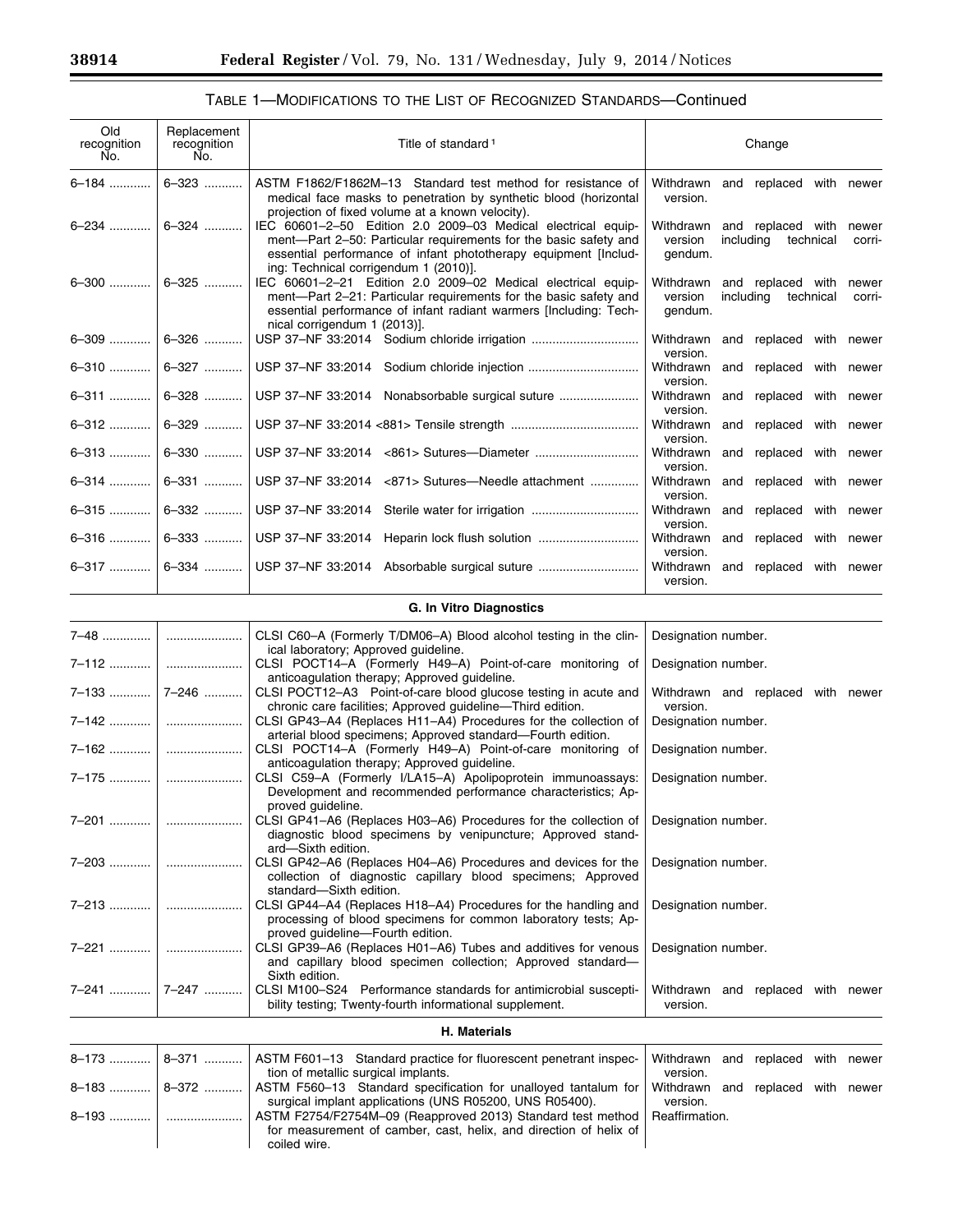## TABLE 1—MODIFICATIONS TO THE LIST OF RECOGNIZED STANDARDS—Continued

| Old<br>recognition<br>No.      | Replacement<br>recognition<br>No. | Title of standard <sup>1</sup>                                                                                                                                                                                                               |                                 | Change                                             |                 |
|--------------------------------|-----------------------------------|----------------------------------------------------------------------------------------------------------------------------------------------------------------------------------------------------------------------------------------------|---------------------------------|----------------------------------------------------|-----------------|
| $6 - 184$                      | 6-323                             | ASTM F1862/F1862M-13 Standard test method for resistance of<br>medical face masks to penetration by synthetic blood (horizontal<br>projection of fixed volume at a known velocity).                                                          | version.                        | Withdrawn and replaced with newer                  |                 |
| 6-234                          | 6-324                             | IEC 60601-2-50 Edition 2.0 2009-03 Medical electrical equip-<br>ment-Part 2-50: Particular requirements for the basic safety and<br>essential performance of infant phototherapy equipment [Includ-<br>ing: Technical corrigendum 1 (2010)]. | version<br>gendum.              | Withdrawn and replaced with<br>including technical | newer<br>corri- |
| $6 - 300$                      | $6 - 325$                         | IEC 60601-2-21 Edition 2.0 2009-02 Medical electrical equip-<br>ment-Part 2-21: Particular requirements for the basic safety and<br>essential performance of infant radiant warmers [Including: Tech-<br>nical corrigendum 1 (2013)].        | Withdrawn<br>version<br>gendum. | and replaced with<br>including<br>technical        | newer<br>corri- |
|                                | $6-309$   $6-326$                 | USP 37-NF 33:2014 Sodium chloride irrigation                                                                                                                                                                                                 | Withdrawn<br>version.           | and replaced with newer                            |                 |
| 6-310                          | 6-327                             |                                                                                                                                                                                                                                              | Withdrawn<br>version.           | and replaced with newer                            |                 |
| 6-311                          | 6-328                             | USP 37-NF 33:2014 Nonabsorbable surgical suture                                                                                                                                                                                              | Withdrawn<br>version.           | and replaced with newer                            |                 |
| $6 - 312$                      | 6-329                             |                                                                                                                                                                                                                                              | Withdrawn<br>version.           | and replaced with newer                            |                 |
| $6 - 313$                      | 6-330                             |                                                                                                                                                                                                                                              | Withdrawn<br>version.           | and replaced with newer                            |                 |
| 6-314                          | 6-331                             | USP 37-NF 33:2014 <871> Sutures—Needle attachment                                                                                                                                                                                            | Withdrawn<br>version.           | and replaced with newer                            |                 |
| $6 - 315$                      | 6-332                             | USP 37-NF 33:2014 Sterile water for irrigation                                                                                                                                                                                               | Withdrawn<br>version.           | and replaced with newer                            |                 |
| 6-316                          | 6–333                             | USP 37-NF 33:2014 Heparin lock flush solution                                                                                                                                                                                                | Withdrawn<br>version.           | and replaced with newer                            |                 |
| 6-317                          | 6-334                             |                                                                                                                                                                                                                                              | Withdrawn<br>version.           | and replaced with newer                            |                 |
| <b>G. In Vitro Diagnostics</b> |                                   |                                                                                                                                                                                                                                              |                                 |                                                    |                 |

|           |                 | CLSI C60-A (Formerly T/DM06-A) Blood alcohol testing in the clin-                                                                              | Designation number.               |  |  |
|-----------|-----------------|------------------------------------------------------------------------------------------------------------------------------------------------|-----------------------------------|--|--|
|           |                 | ical laboratory; Approved guideline.                                                                                                           |                                   |  |  |
|           |                 | CLSI POCT14-A (Formerly H49-A) Point-of-care monitoring of<br>anticoagulation therapy; Approved guideline.                                     | Designation number.               |  |  |
|           | $7-133$   7-246 | CLSI POCT12-A3 Point-of-care blood glucose testing in acute and                                                                                | Withdrawn and replaced with newer |  |  |
|           |                 | chronic care facilities; Approved guideline-Third edition.                                                                                     | version.                          |  |  |
|           |                 | CLSI GP43-A4 (Replaces H11-A4) Procedures for the collection of<br>arterial blood specimens; Approved standard—Fourth edition.                 | Designation number.               |  |  |
|           |                 | CLSI POCT14-A (Formerly H49-A) Point-of-care monitoring of<br>anticoagulation therapy; Approved guideline.                                     | Designation number.               |  |  |
|           |                 | CLSI C59-A (Formerly I/LA15-A) Apolipoprotein immunoassays:<br>Development and recommended performance characteristics; Ap-                    | Designation number.               |  |  |
|           |                 | proved guideline.                                                                                                                              |                                   |  |  |
|           |                 | CLSI GP41-A6 (Replaces H03-A6) Procedures for the collection of<br>diagnostic blood specimens by venipuncture; Approved stand-                 | Designation number.               |  |  |
|           |                 | ard-Sixth edition.                                                                                                                             |                                   |  |  |
|           |                 | CLSI GP42-A6 (Replaces H04-A6) Procedures and devices for the<br>collection of diagnostic capillary blood specimens; Approved                  | Designation number.               |  |  |
|           |                 | standard-Sixth edition.                                                                                                                        |                                   |  |  |
|           |                 | CLSI GP44-A4 (Replaces H18-A4) Procedures for the handling and<br>processing of blood specimens for common laboratory tests; Ap-               | Designation number.               |  |  |
|           |                 | proved quideline-Fourth edition.                                                                                                               |                                   |  |  |
|           |                 | CLSI GP39-A6 (Replaces H01-A6) Tubes and additives for venous<br>and capillary blood specimen collection; Approved standard-<br>Sixth edition. | Designation number.               |  |  |
|           | 7–241    7–247  | CLSI M100-S24 Performance standards for antimicrobial suscepti-                                                                                | Withdrawn and replaced with newer |  |  |
|           |                 | bility testing; Twenty-fourth informational supplement.                                                                                        | version.                          |  |  |
|           |                 | <b>H. Materials</b>                                                                                                                            |                                   |  |  |
| $8 - 173$ |                 | 8-371    ASTM F601-13 Standard practice for fluorescent penetrant inspec-                                                                      | Withdrawn and replaced with newer |  |  |
|           |                 | tion of metallic surgical implants.                                                                                                            | version.                          |  |  |
|           |                 | 8-183  8-372    ASTM F560-13 Standard specification for unalloyed tantalum for                                                                 | Withdrawn and replaced with newer |  |  |

surgical implant applications (UNS R05200, UNS R05400).

for measurement of camber, cast, helix, and direction of helix of

8–193 ............ ...................... ASTM F2754/F2754M–09 (Reapproved 2013) Standard test method

coiled wire.

version.

Reaffirmation.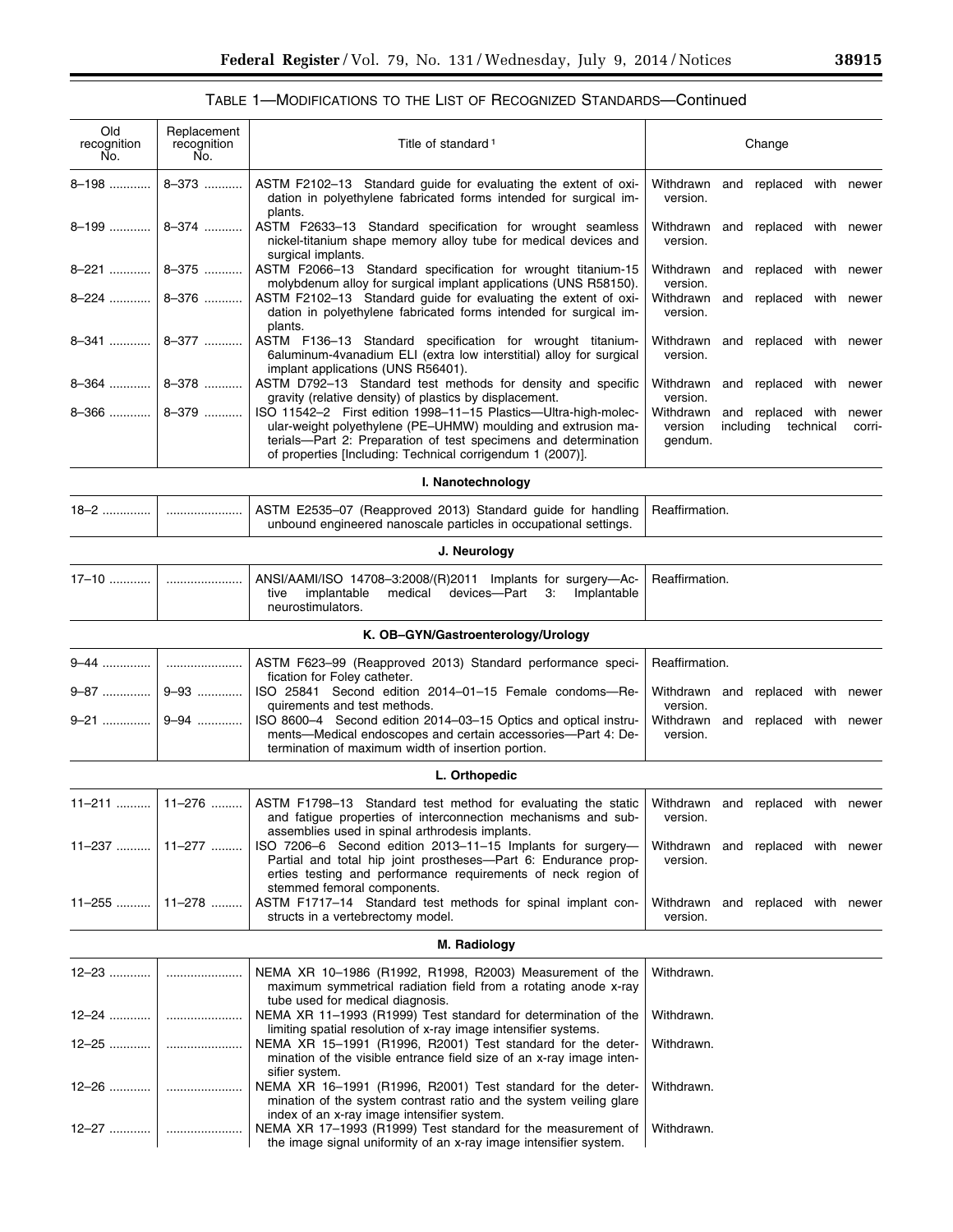| Old<br>recognition<br>No. | Replacement<br>recognition<br>No. | Title of standard <sup>1</sup>                                                                                                                                                                                                                                                                                               | Change                                                                                                        |  |  |
|---------------------------|-----------------------------------|------------------------------------------------------------------------------------------------------------------------------------------------------------------------------------------------------------------------------------------------------------------------------------------------------------------------------|---------------------------------------------------------------------------------------------------------------|--|--|
| 8-198                     | 8-373                             | ASTM F2102-13 Standard guide for evaluating the extent of oxi-<br>dation in polyethylene fabricated forms intended for surgical im-                                                                                                                                                                                          | Withdrawn<br>and replaced with newer<br>version.                                                              |  |  |
| 8-199                     | 8-374                             | plants.<br>ASTM F2633-13 Standard specification for wrought seamless<br>nickel-titanium shape memory alloy tube for medical devices and                                                                                                                                                                                      | and replaced with newer<br>Withdrawn<br>version.                                                              |  |  |
| 8-221                     | 8-375                             | surgical implants.<br>ASTM F2066-13 Standard specification for wrought titanium-15<br>molybdenum alloy for surgical implant applications (UNS R58150).                                                                                                                                                                       | Withdrawn<br>replaced with newer<br>and<br>version.                                                           |  |  |
| 8-224                     | 8-376                             | ASTM F2102-13 Standard guide for evaluating the extent of oxi-<br>dation in polyethylene fabricated forms intended for surgical im-<br>plants.                                                                                                                                                                               | Withdrawn<br>replaced with newer<br>and<br>version.                                                           |  |  |
| 8-341                     | 8-377                             | ASTM F136-13 Standard specification for wrought titanium-<br>6aluminum-4vanadium ELI (extra low interstitial) alloy for surgical                                                                                                                                                                                             | Withdrawn<br>and replaced with newer<br>version.                                                              |  |  |
| $8 - 364$                 | 8-378                             | implant applications (UNS R56401).<br>ASTM D792-13 Standard test methods for density and specific                                                                                                                                                                                                                            | Withdrawn<br>and replaced with newer                                                                          |  |  |
| 8-366                     | 8-379                             | gravity (relative density) of plastics by displacement.<br>ISO 11542-2 First edition 1998-11-15 Plastics-Ultra-high-molec-<br>ular-weight polyethylene (PE-UHMW) moulding and extrusion ma-<br>terials-Part 2: Preparation of test specimens and determination<br>of properties [Including: Technical corrigendum 1 (2007)]. | version.<br>Withdrawn<br>and replaced with<br>newer<br>version<br>including<br>technical<br>corri-<br>gendum. |  |  |
|                           |                                   | I. Nanotechnology                                                                                                                                                                                                                                                                                                            |                                                                                                               |  |  |
| $18 - 2$                  |                                   | ASTM E2535-07 (Reapproved 2013) Standard guide for handling<br>unbound engineered nanoscale particles in occupational settings.                                                                                                                                                                                              | Reaffirmation.                                                                                                |  |  |
|                           |                                   | J. Neurology                                                                                                                                                                                                                                                                                                                 |                                                                                                               |  |  |
| 17–10                     |                                   | ANSI/AAMI/ISO 14708-3:2008/(R)2011 Implants for surgery-Ac-<br>implantable<br>devices—Part<br>tive<br>medical<br>3.<br>Implantable<br>neurostimulators.                                                                                                                                                                      | Reaffirmation.                                                                                                |  |  |
|                           |                                   | K. OB-GYN/Gastroenterology/Urology                                                                                                                                                                                                                                                                                           |                                                                                                               |  |  |
| 9–44 ……………                |                                   | ASTM F623-99 (Reapproved 2013) Standard performance speci-<br>fication for Foley catheter.                                                                                                                                                                                                                                   | Reaffirmation.                                                                                                |  |  |
| 9-87                      | $9 - 93$                          | ISO 25841 Second edition 2014-01-15 Female condoms-Re-<br>quirements and test methods.                                                                                                                                                                                                                                       | Withdrawn and replaced with newer<br>version.                                                                 |  |  |
| 9–21                      | 9-94                              | ISO 8600-4 Second edition 2014-03-15 Optics and optical instru-<br>ments-Medical endoscopes and certain accessories-Part 4: De-<br>termination of maximum width of insertion portion.                                                                                                                                        | Withdrawn<br>and replaced with newer<br>version.                                                              |  |  |
|                           |                                   | L. Orthopedic                                                                                                                                                                                                                                                                                                                |                                                                                                               |  |  |
| 11–211                    | 11-276                            | ASTM F1798-13 Standard test method for evaluating the static<br>and fatigue properties of interconnection mechanisms and sub-                                                                                                                                                                                                | Withdrawn and replaced with newer<br>version.                                                                 |  |  |
| 11-237                    | 11-277                            | assemblies used in spinal arthrodesis implants.<br>ISO 7206-6 Second edition 2013-11-15 Implants for surgery-<br>Partial and total hip joint prostheses-Part 6: Endurance prop-<br>erties testing and performance requirements of neck region of<br>stemmed femoral components.                                              | Withdrawn and replaced with newer<br>version.                                                                 |  |  |
| 11–255                    | $11 - 278$                        | ASTM F1717-14 Standard test methods for spinal implant con-<br>structs in a vertebrectomy model.                                                                                                                                                                                                                             | Withdrawn<br>and replaced with newer<br>version.                                                              |  |  |
|                           |                                   | M. Radiology                                                                                                                                                                                                                                                                                                                 |                                                                                                               |  |  |
| $12 - 23$                 |                                   | NEMA XR 10-1986 (R1992, R1998, R2003) Measurement of the<br>maximum symmetrical radiation field from a rotating anode x-ray                                                                                                                                                                                                  | Withdrawn.                                                                                                    |  |  |
| 12–24                     |                                   | tube used for medical diagnosis.<br>NEMA XR 11-1993 (R1999) Test standard for determination of the<br>limiting spatial resolution of x-ray image intensifier systems.                                                                                                                                                        | Withdrawn.                                                                                                    |  |  |
| 12–25                     |                                   | NEMA XR 15-1991 (R1996, R2001) Test standard for the deter-<br>mination of the visible entrance field size of an x-ray image inten-                                                                                                                                                                                          | Withdrawn.                                                                                                    |  |  |
| 12–26  ∣                  |                                   | sifier system.<br>NEMA XR 16-1991 (R1996, R2001) Test standard for the deter-<br>mination of the system contrast ratio and the system veiling glare                                                                                                                                                                          | Withdrawn.                                                                                                    |  |  |
|                           |                                   | index of an x-ray image intensifier system.<br>NEMA XR 17-1993 (R1999) Test standard for the measurement of<br>the image signal uniformity of an x-ray image intensifier system.                                                                                                                                             | Withdrawn.                                                                                                    |  |  |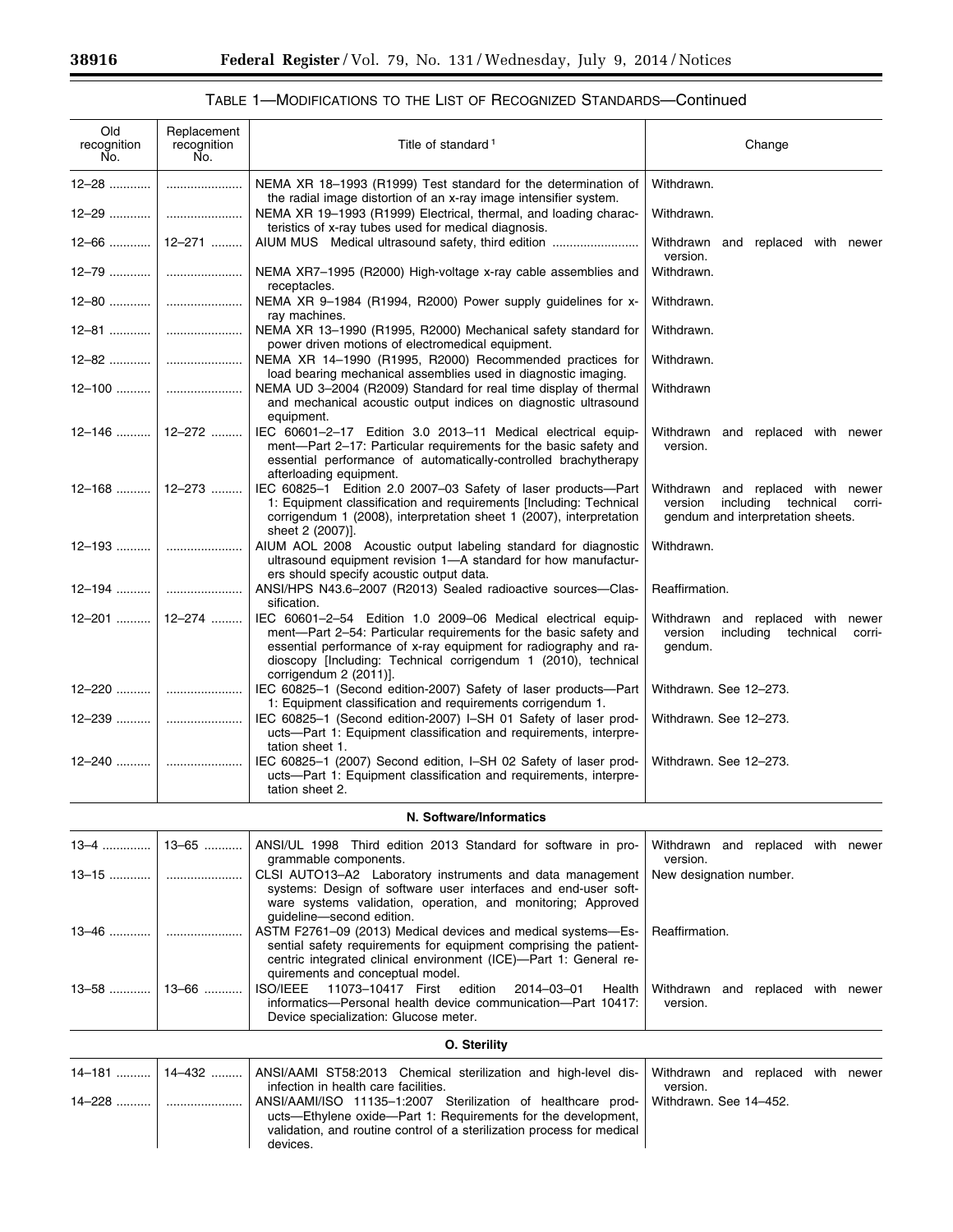$\equiv$ 

۰

| Old<br>recognition<br>No. | Replacement<br>recognition<br>No. | Title of standard <sup>1</sup>                                                                                                                                                                                                                                                        | Change                                                                                                                |
|---------------------------|-----------------------------------|---------------------------------------------------------------------------------------------------------------------------------------------------------------------------------------------------------------------------------------------------------------------------------------|-----------------------------------------------------------------------------------------------------------------------|
| $12 - 28$                 |                                   | NEMA XR 18-1993 (R1999) Test standard for the determination of<br>the radial image distortion of an x-ray image intensifier system.                                                                                                                                                   | Withdrawn.                                                                                                            |
| 12-29                     |                                   | NEMA XR 19-1993 (R1999) Electrical, thermal, and loading charac-                                                                                                                                                                                                                      | Withdrawn.                                                                                                            |
| $12 - 66$                 | 12–271                            | teristics of x-ray tubes used for medical diagnosis.<br>AIUM MUS Medical ultrasound safety, third edition                                                                                                                                                                             | Withdrawn and replaced with newer<br>version.                                                                         |
| $12 - 79$                 |                                   | NEMA XR7-1995 (R2000) High-voltage x-ray cable assemblies and<br>receptacles.                                                                                                                                                                                                         | Withdrawn.                                                                                                            |
| 12-80                     |                                   | NEMA XR 9-1984 (R1994, R2000) Power supply guidelines for x-<br>ray machines.                                                                                                                                                                                                         | Withdrawn.                                                                                                            |
| 12-81                     |                                   | NEMA XR 13-1990 (R1995, R2000) Mechanical safety standard for<br>power driven motions of electromedical equipment.                                                                                                                                                                    | Withdrawn.                                                                                                            |
| $12 - 82$                 |                                   | NEMA XR 14-1990 (R1995, R2000) Recommended practices for<br>load bearing mechanical assemblies used in diagnostic imaging.                                                                                                                                                            | Withdrawn.                                                                                                            |
| $12 - 100$                |                                   | NEMA UD 3-2004 (R2009) Standard for real time display of thermal<br>and mechanical acoustic output indices on diagnostic ultrasound<br>equipment.                                                                                                                                     | Withdrawn                                                                                                             |
| $12 - 146$                | 12-272                            | IEC 60601-2-17 Edition 3.0 2013-11 Medical electrical equip-<br>ment-Part 2-17: Particular requirements for the basic safety and<br>essential performance of automatically-controlled brachytherapy<br>afterloading equipment.                                                        | Withdrawn and replaced with newer<br>version.                                                                         |
| 12-168                    | 12–273                            | IEC 60825-1 Edition 2.0 2007-03 Safety of laser products-Part<br>1: Equipment classification and requirements [Including: Technical<br>corrigendum 1 (2008), interpretation sheet 1 (2007), interpretation<br>sheet 2 (2007)].                                                        | Withdrawn and replaced with newer<br>including<br>technical<br>version<br>corri-<br>gendum and interpretation sheets. |
| $12 - 193$                |                                   | AIUM AOL 2008 Acoustic output labeling standard for diagnostic<br>ultrasound equipment revision 1-A standard for how manufactur-                                                                                                                                                      | Withdrawn.                                                                                                            |
| 12-194                    |                                   | ers should specify acoustic output data.<br>ANSI/HPS N43.6-2007 (R2013) Sealed radioactive sources-Clas-                                                                                                                                                                              | Reaffirmation.                                                                                                        |
| 12-201                    | 12-274                            | sification.<br>IEC 60601-2-54 Edition 1.0 2009-06 Medical electrical equip-<br>ment-Part 2-54: Particular requirements for the basic safety and<br>essential performance of x-ray equipment for radiography and ra-<br>dioscopy [Including: Technical corrigendum 1 (2010), technical | Withdrawn and replaced with newer<br>including<br>version<br>technical<br>corri-<br>gendum.                           |
| 12–220                    |                                   | corrigendum 2 (2011)].<br>IEC 60825-1 (Second edition-2007) Safety of laser products-Part<br>1: Equipment classification and requirements corrigendum 1.                                                                                                                              | Withdrawn. See 12-273.                                                                                                |
| 12-239                    |                                   | IEC 60825-1 (Second edition-2007) I-SH 01 Safety of laser prod-<br>ucts-Part 1: Equipment classification and requirements, interpre-<br>tation sheet 1.                                                                                                                               | Withdrawn. See 12-273.                                                                                                |
| 12–240                    |                                   | IEC 60825-1 (2007) Second edition, I-SH 02 Safety of laser prod-<br>ucts-Part 1: Equipment classification and requirements, interpre-<br>tation sheet 2.                                                                                                                              | Withdrawn. See 12-273.                                                                                                |
|                           |                                   | N. Software/Informatics                                                                                                                                                                                                                                                               |                                                                                                                       |
| 13–4                      | 13–65                             | ANSI/UL 1998 Third edition 2013 Standard for software in pro-                                                                                                                                                                                                                         | Withdrawn and replaced with newer                                                                                     |
| $13 - 15$                 |                                   | grammable components.<br>CLSI AUTO13-A2 Laboratory instruments and data management<br>systems: Design of software user interfaces and end-user soft-<br>ware systems validation, operation, and monitoring; Approved<br>guideline-second edition.                                     | version.<br>New designation number.                                                                                   |
| $13 - 46$                 |                                   | ASTM F2761-09 (2013) Medical devices and medical systems-Es-<br>sential safety requirements for equipment comprising the patient-<br>centric integrated clinical environment (ICE)-Part 1: General re-<br>quirements and conceptual model.                                            | Reaffirmation.                                                                                                        |
| 13–58                     | 13–66                             | <b>ISO/IEEE</b><br>11073-10417 First<br>edition<br>2014-03-01<br>Health<br>informatics-Personal health device communication-Part 10417:<br>Device specialization: Glucose meter.                                                                                                      | Withdrawn and replaced with newer<br>version.                                                                         |
|                           |                                   | O. Sterility                                                                                                                                                                                                                                                                          |                                                                                                                       |
| 14–181                    | 14-432                            | ANSI/AAMI ST58:2013 Chemical sterilization and high-level dis-<br>infection in health care facilities.                                                                                                                                                                                | Withdrawn and replaced with newer<br>version.                                                                         |
| 14-228                    |                                   | ANSI/AAMI/ISO 11135-1:2007 Sterilization of healthcare prod-<br>ucts—Ethylene oxide—Part 1: Requirements for the development,<br>validation, and routine control of a sterilization process for medical<br>devices.                                                                   | Withdrawn. See 14-452.                                                                                                |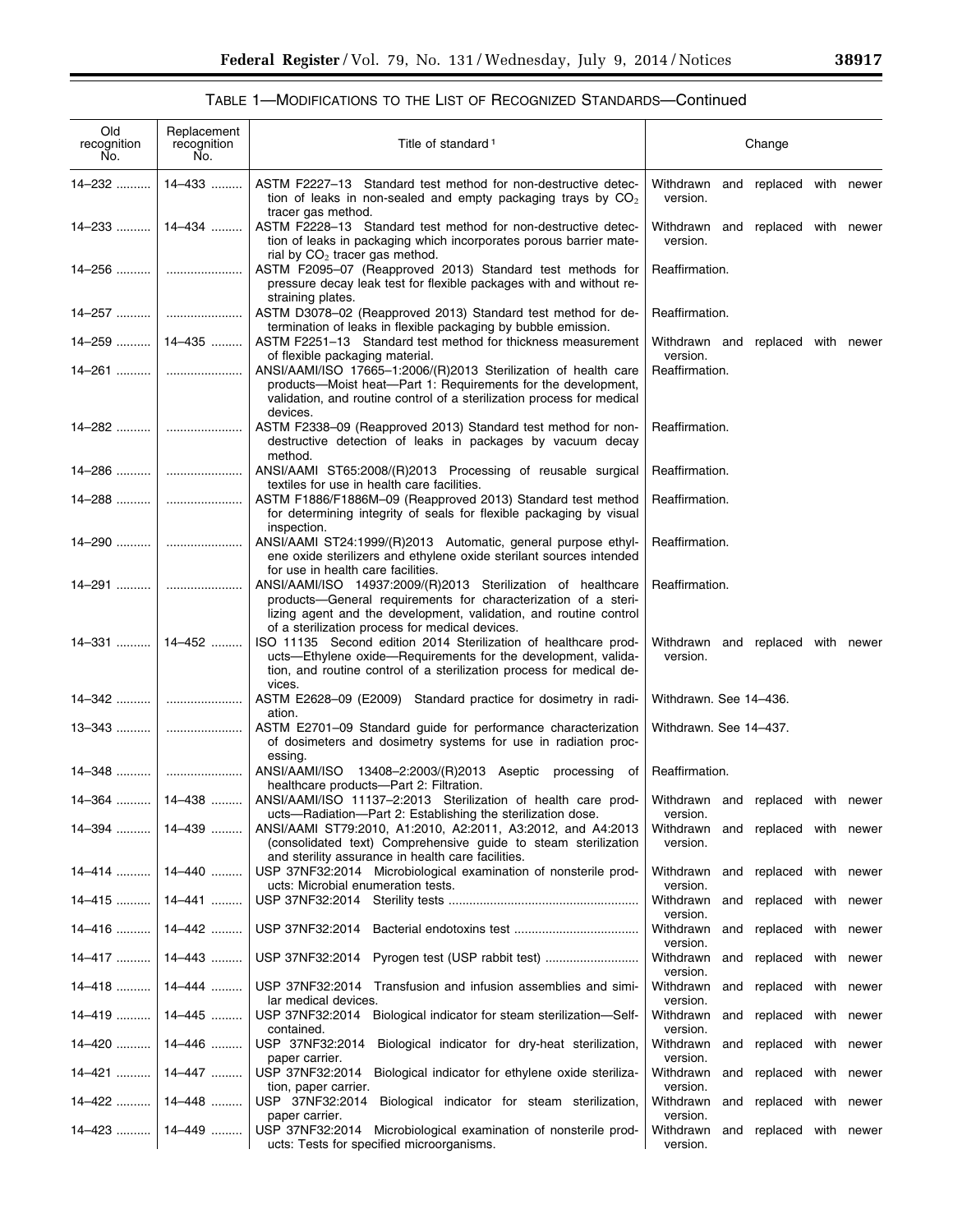$\equiv$ 

| Old<br>recognition<br>No. | Replacement<br>recognition<br>No. | Title of standard <sup>1</sup>                                                                                                                                                                                                                         | Change                                              |  |  |
|---------------------------|-----------------------------------|--------------------------------------------------------------------------------------------------------------------------------------------------------------------------------------------------------------------------------------------------------|-----------------------------------------------------|--|--|
| 14-232                    | 14–433                            | ASTM F2227-13 Standard test method for non-destructive detec-<br>tion of leaks in non-sealed and empty packaging trays by $CO2$<br>tracer gas method.                                                                                                  | Withdrawn and replaced with newer<br>version.       |  |  |
|                           | 14–233    14–434                  | ASTM F2228-13 Standard test method for non-destructive detec-<br>tion of leaks in packaging which incorporates porous barrier mate-<br>rial by $CO2$ tracer gas method.                                                                                | Withdrawn and replaced with newer<br>version.       |  |  |
|                           |                                   | ASTM F2095-07 (Reapproved 2013) Standard test methods for<br>pressure decay leak test for flexible packages with and without re-<br>straining plates.                                                                                                  | Reaffirmation.                                      |  |  |
|                           |                                   | ASTM D3078-02 (Reapproved 2013) Standard test method for de-<br>termination of leaks in flexible packaging by bubble emission.                                                                                                                         | Reaffirmation.                                      |  |  |
| $14 - 259$   14 - 435     |                                   | ASTM F2251-13 Standard test method for thickness measurement<br>of flexible packaging material.                                                                                                                                                        | Withdrawn and replaced with newer<br>version.       |  |  |
| 14–261                    |                                   | ANSI/AAMI/ISO 17665-1:2006/(R)2013 Sterilization of health care<br>products—Moist heat—Part 1: Requirements for the development,<br>validation, and routine control of a sterilization process for medical<br>devices.                                 | Reaffirmation.                                      |  |  |
|                           |                                   | ASTM F2338-09 (Reapproved 2013) Standard test method for non-<br>destructive detection of leaks in packages by vacuum decay<br>method.                                                                                                                 | Reaffirmation.                                      |  |  |
|                           |                                   | ANSI/AAMI ST65:2008/(R)2013 Processing of reusable surgical<br>textiles for use in health care facilities.                                                                                                                                             | Reaffirmation.                                      |  |  |
|                           |                                   | ASTM F1886/F1886M-09 (Reapproved 2013) Standard test method<br>for determining integrity of seals for flexible packaging by visual<br>inspection.                                                                                                      | Reaffirmation.                                      |  |  |
|                           |                                   | ANSI/AAMI ST24:1999/(R)2013 Automatic, general purpose ethyl-<br>ene oxide sterilizers and ethylene oxide sterilant sources intended<br>for use in health care facilities.                                                                             | Reaffirmation.                                      |  |  |
| 14-291                    |                                   | ANSI/AAMI/ISO 14937:2009/(R)2013 Sterilization of healthcare<br>products-General requirements for characterization of a steri-<br>lizing agent and the development, validation, and routine control<br>of a sterilization process for medical devices. | Reaffirmation.                                      |  |  |
| 14-331    14-452          |                                   | ISO 11135 Second edition 2014 Sterilization of healthcare prod-<br>ucts-Ethylene oxide-Requirements for the development, valida-<br>tion, and routine control of a sterilization process for medical de-<br>vices.                                     | Withdrawn and replaced with newer<br>version.       |  |  |
|                           |                                   | ASTM E2628-09 (E2009) Standard practice for dosimetry in radi-<br>ation.                                                                                                                                                                               | Withdrawn. See 14-436.                              |  |  |
|                           |                                   | ASTM E2701-09 Standard guide for performance characterization<br>of dosimeters and dosimetry systems for use in radiation proc-<br>essing.                                                                                                             | Withdrawn. See 14-437.                              |  |  |
|                           |                                   | ANSI/AAMI/ISO 13408-2:2003/(R)2013 Aseptic processing of<br>healthcare products-Part 2: Filtration.                                                                                                                                                    | Reaffirmation.                                      |  |  |
| $14-364$   14-438         |                                   | ANSI/AAMI/ISO 11137-2:2013 Sterilization of health care prod-<br>ucts-Radiation-Part 2: Establishing the sterilization dose.                                                                                                                           | Withdrawn and replaced with newer<br>version.       |  |  |
| 14-394                    | 14-439                            | ANSI/AAMI ST79:2010, A1:2010, A2:2011, A3:2012, and A4:2013<br>(consolidated text) Comprehensive guide to steam sterilization<br>and sterility assurance in health care facilities.                                                                    | Withdrawn<br>and replaced with newer<br>version.    |  |  |
| $14 - 414$                | 14-440                            | USP 37NF32:2014 Microbiological examination of nonsterile prod-<br>ucts: Microbial enumeration tests.                                                                                                                                                  | and replaced with newer<br>Withdrawn<br>version.    |  |  |
| 14-415                    | 14-441                            |                                                                                                                                                                                                                                                        | Withdrawn<br>and<br>replaced with newer<br>version. |  |  |
| 14–416                    | 14-442                            | USP 37NF32:2014                                                                                                                                                                                                                                        | Withdrawn<br>and replaced with newer<br>version.    |  |  |
| 14–417                    | 14-443                            | USP 37NF32:2014                                                                                                                                                                                                                                        | Withdrawn<br>replaced with newer<br>and<br>version. |  |  |
| 14–418                    | 14-444                            | USP 37NF32:2014<br>Transfusion and infusion assemblies and simi-<br>lar medical devices.                                                                                                                                                               | Withdrawn<br>replaced with newer<br>and<br>version. |  |  |
| 14–419                    | 14-445                            | USP 37NF32:2014 Biological indicator for steam sterilization-Self-<br>contained.                                                                                                                                                                       | Withdrawn<br>replaced with newer<br>and<br>version. |  |  |
| 14-420    14-446          |                                   | USP 37NF32:2014 Biological indicator for dry-heat sterilization,<br>paper carrier.                                                                                                                                                                     | Withdrawn<br>and replaced with newer<br>version.    |  |  |
| 14-421    14-447          |                                   | USP 37NF32:2014<br>Biological indicator for ethylene oxide steriliza-<br>tion, paper carrier.                                                                                                                                                          | Withdrawn<br>and replaced with newer<br>version.    |  |  |
| 14–422                    | 14–448 ………                        | Biological indicator for steam sterilization,<br>USP 37NF32:2014<br>paper carrier.                                                                                                                                                                     | Withdrawn<br>and replaced with newer<br>version.    |  |  |
| $14-423$   14-449         |                                   | USP 37NF32:2014 Microbiological examination of nonsterile prod-<br>ucts: Tests for specified microorganisms.                                                                                                                                           | Withdrawn<br>and replaced with newer<br>version.    |  |  |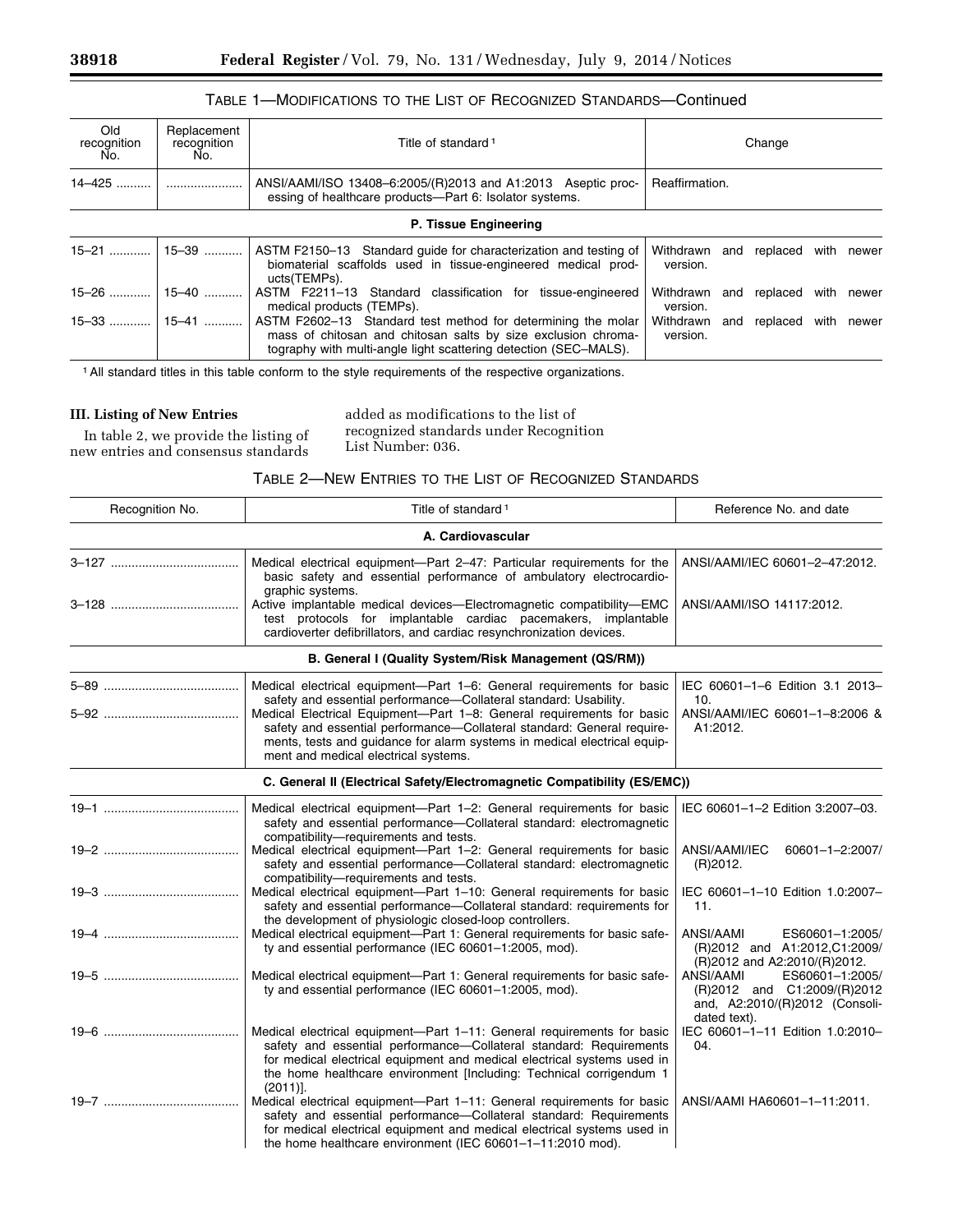## TABLE 1—MODIFICATIONS TO THE LIST OF RECOGNIZED STANDARDS—Continued

| Old<br>recognition<br>No. | Replacement<br>recognition<br>No. | Title of standard <sup>1</sup>                                                                                                                                                                    | Change                                              |  |  |
|---------------------------|-----------------------------------|---------------------------------------------------------------------------------------------------------------------------------------------------------------------------------------------------|-----------------------------------------------------|--|--|
| $14 - 425$                |                                   | ANSI/AAMI/ISO 13408-6:2005/(R)2013 and A1:2013 Aseptic proc-<br>essing of healthcare products—Part 6: Isolator systems.                                                                           | Reaffirmation.                                      |  |  |
|                           | P. Tissue Engineering             |                                                                                                                                                                                                   |                                                     |  |  |
| $15 - 21$                 | 15–39                             | ASTM F2150–13 Standard guide for characterization and testing of<br>biomaterial scaffolds used in tissue-engineered medical prod-<br>ucts(TEMPs).                                                 | Withdrawn<br>replaced with newer<br>and<br>version. |  |  |
| $15 - 26$                 | 15-40                             | ASTM F2211-13 Standard classification for tissue-engineered<br>medical products (TEMPs).                                                                                                          | Withdrawn<br>replaced with newer<br>and<br>version. |  |  |
| $15-33$   15-41           |                                   | ASTM F2602-13 Standard test method for determining the molar<br>mass of chitosan and chitosan salts by size exclusion chroma-<br>tography with multi-angle light scattering detection (SEC-MALS). | Withdrawn<br>replaced with newer<br>and<br>version. |  |  |

1All standard titles in this table conform to the style requirements of the respective organizations.

### **III. Listing of New Entries**

In table 2, we provide the listing of new entries and consensus standards

added as modifications to the list of recognized standards under Recognition List Number: 036.

## TABLE 2—NEW ENTRIES TO THE LIST OF RECOGNIZED STANDARDS

| Recognition No. | Title of standard <sup>1</sup>                                                                                                                                                                                                                                                                      | Reference No. and date                                                                                        |
|-----------------|-----------------------------------------------------------------------------------------------------------------------------------------------------------------------------------------------------------------------------------------------------------------------------------------------------|---------------------------------------------------------------------------------------------------------------|
|                 | A. Cardiovascular                                                                                                                                                                                                                                                                                   |                                                                                                               |
|                 | Medical electrical equipment—Part 2-47: Particular requirements for the<br>basic safety and essential performance of ambulatory electrocardio-<br>graphic systems.                                                                                                                                  | ANSI/AAMI/IEC 60601-2-47:2012.                                                                                |
|                 | Active implantable medical devices—Electromagnetic compatibility—EMC<br>test protocols for implantable cardiac pacemakers, implantable<br>cardioverter defibrillators, and cardiac resynchronization devices.                                                                                       | ANSI/AAMI/ISO 14117:2012.                                                                                     |
|                 | B. General I (Quality System/Risk Management (QS/RM))                                                                                                                                                                                                                                               |                                                                                                               |
|                 | Medical electrical equipment-Part 1-6: General requirements for basic<br>safety and essential performance-Collateral standard: Usability.<br>Medical Electrical Equipment-Part 1-8: General requirements for basic<br>safety and essential performance-Collateral standard: General require-        | IEC 60601-1-6 Edition 3.1 2013-<br>10.<br>ANSI/AAMI/IEC 60601-1-8:2006 &<br>A1:2012.                          |
|                 | ments, tests and guidance for alarm systems in medical electrical equip-<br>ment and medical electrical systems.                                                                                                                                                                                    |                                                                                                               |
|                 | C. General II (Electrical Safety/Electromagnetic Compatibility (ES/EMC))                                                                                                                                                                                                                            |                                                                                                               |
|                 | Medical electrical equipment-Part 1-2: General requirements for basic<br>safety and essential performance-Collateral standard: electromagnetic<br>compatibility-requirements and tests.                                                                                                             | IEC 60601-1-2 Edition 3:2007-03.                                                                              |
|                 | Medical electrical equipment-Part 1-2: General requirements for basic<br>safety and essential performance-Collateral standard: electromagnetic<br>compatibility-requirements and tests.                                                                                                             | ANSI/AAMI/IEC<br>60601-1-2:2007/<br>(R)2012.                                                                  |
|                 | Medical electrical equipment-Part 1-10: General requirements for basic<br>safety and essential performance-Collateral standard: requirements for<br>the development of physiologic closed-loop controllers.                                                                                         | IEC 60601-1-10 Edition 1.0:2007-<br>11.                                                                       |
|                 | Medical electrical equipment-Part 1: General requirements for basic safe-<br>ty and essential performance (IEC 60601-1:2005, mod).                                                                                                                                                                  | ANSI/AAMI<br>ES60601-1:2005/<br>(R)2012 and A1:2012,C1:2009/<br>(R)2012 and A2:2010/(R)2012.                  |
|                 | Medical electrical equipment-Part 1: General requirements for basic safe-<br>ty and essential performance (IEC 60601-1:2005, mod).                                                                                                                                                                  | ES60601-1:2005/<br>ANSI/AAMI<br>(R)2012 and C1:2009/(R)2012<br>and, A2:2010/(R)2012 (Consoli-<br>dated text). |
|                 | Medical electrical equipment—Part 1-11: General requirements for basic<br>safety and essential performance-Collateral standard: Requirements<br>for medical electrical equipment and medical electrical systems used in<br>the home healthcare environment [Including: Technical corrigendum 1      | IEC 60601-1-11 Edition 1.0:2010-<br>04.                                                                       |
|                 | $(2011)$ .<br>Medical electrical equipment-Part 1-11: General requirements for basic<br>safety and essential performance-Collateral standard: Requirements<br>for medical electrical equipment and medical electrical systems used in<br>the home healthcare environment (IEC 60601-1-11:2010 mod). | ANSI/AAMI HA60601-1-11:2011.                                                                                  |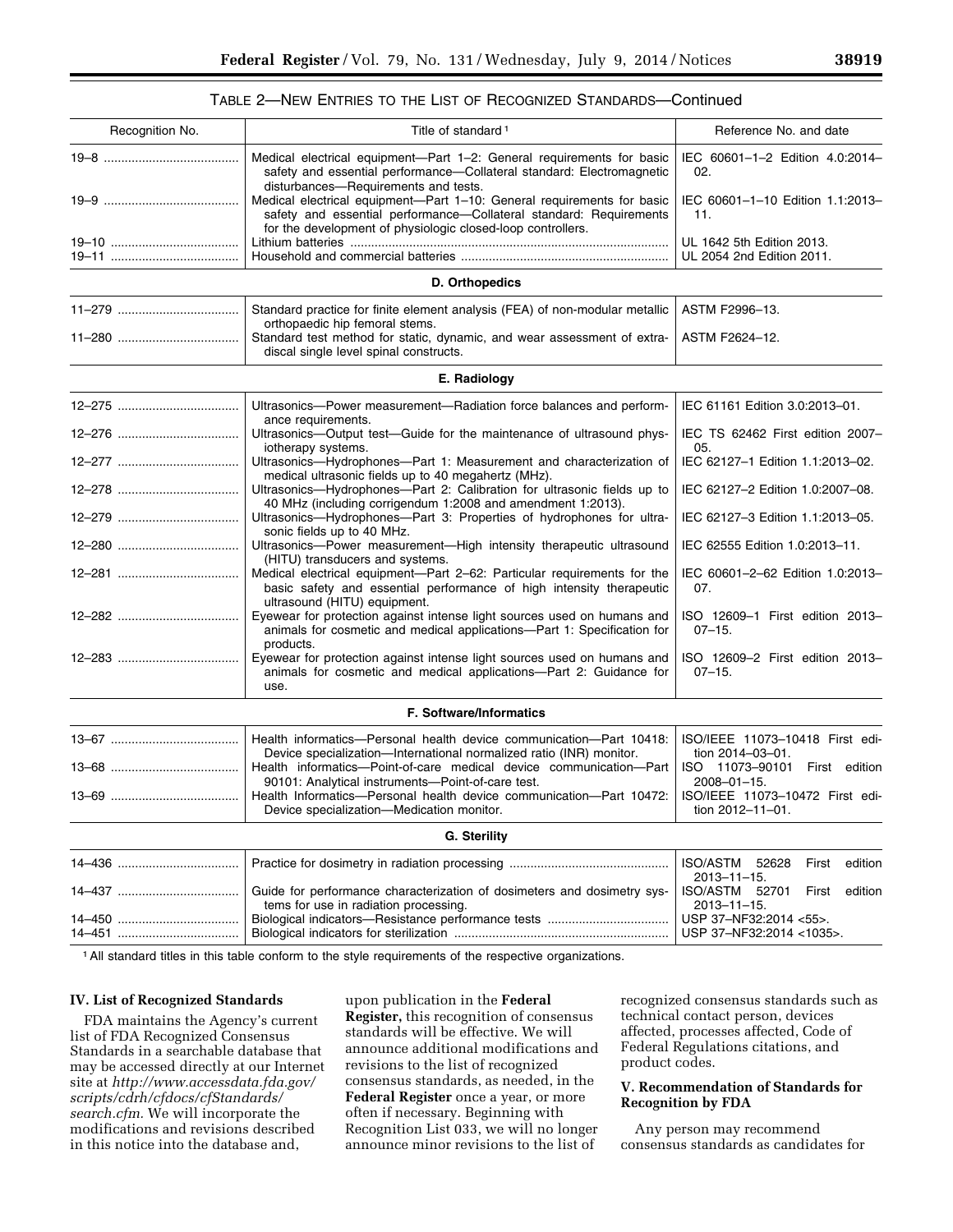### TABLE 2—NEW ENTRIES TO THE LIST OF RECOGNIZED STANDARDS—Continued

| Recognition No. | Title of standard <sup>1</sup>                                                                                                                                                                              | Reference No. and date                                             |  |
|-----------------|-------------------------------------------------------------------------------------------------------------------------------------------------------------------------------------------------------------|--------------------------------------------------------------------|--|
|                 | Medical electrical equipment-Part 1-2: General requirements for basic<br>safety and essential performance-Collateral standard: Electromagnetic<br>disturbances-Requirements and tests.                      | IEC 60601-1-2 Edition 4.0:2014-<br>02.                             |  |
|                 | Medical electrical equipment-Part 1-10: General requirements for basic<br>safety and essential performance-Collateral standard: Requirements<br>for the development of physiologic closed-loop controllers. | IEC 60601-1-10 Edition 1.1:2013-<br>11.                            |  |
|                 |                                                                                                                                                                                                             | UL 1642 5th Edition 2013.<br>UL 2054 2nd Edition 2011.             |  |
|                 | D. Orthopedics                                                                                                                                                                                              |                                                                    |  |
|                 | Standard practice for finite element analysis (FEA) of non-modular metallic<br>orthopaedic hip femoral stems.                                                                                               | ASTM F2996-13.                                                     |  |
|                 | Standard test method for static, dynamic, and wear assessment of extra-<br>discal single level spinal constructs.                                                                                           | ASTM F2624-12.                                                     |  |
|                 | E. Radiology                                                                                                                                                                                                |                                                                    |  |
|                 | Ultrasonics-Power measurement-Radiation force balances and perform-<br>ance requirements.                                                                                                                   | IEC 61161 Edition 3.0:2013-01.                                     |  |
|                 | Ultrasonics—Output test—Guide for the maintenance of ultrasound phys-<br>iotherapy systems.                                                                                                                 | IEC TS 62462 First edition 2007-<br>05.                            |  |
|                 | Ultrasonics-Hydrophones-Part 1: Measurement and characterization of<br>medical ultrasonic fields up to 40 megahertz (MHz).                                                                                  | IEC 62127-1 Edition 1.1:2013-02.                                   |  |
|                 | Ultrasonics-Hydrophones-Part 2: Calibration for ultrasonic fields up to<br>40 MHz (including corrigendum 1:2008 and amendment 1:2013).                                                                      | IEC 62127-2 Edition 1.0:2007-08.                                   |  |
|                 | Ultrasonics-Hydrophones-Part 3: Properties of hydrophones for ultra-<br>sonic fields up to 40 MHz.                                                                                                          | IEC 62127-3 Edition 1.1:2013-05.                                   |  |
|                 | Ultrasonics-Power measurement-High intensity therapeutic ultrasound<br>(HITU) transducers and systems.                                                                                                      | IEC 62555 Edition 1.0:2013-11.                                     |  |
|                 | Medical electrical equipment-Part 2-62: Particular requirements for the<br>basic safety and essential performance of high intensity therapeutic<br>ultrasound (HITU) equipment.                             | IEC 60601-2-62 Edition 1.0:2013-<br>07.                            |  |
|                 | Eyewear for protection against intense light sources used on humans and<br>animals for cosmetic and medical applications-Part 1: Specification for<br>products.                                             | ISO 12609-1 First edition 2013-<br>$07 - 15.$                      |  |
|                 | Eyewear for protection against intense light sources used on humans and<br>animals for cosmetic and medical applications-Part 2: Guidance for<br>use.                                                       | ISO 12609-2 First edition 2013-<br>$07 - 15.$                      |  |
|                 | F. Software/Informatics                                                                                                                                                                                     |                                                                    |  |
|                 | Health informatics-Personal health device communication-Part 10418:<br>Device specialization-International normalized ratio (INR) monitor.                                                                  | ISO/IEEE 11073-10418 First edi-<br>tion 2014-03-01.                |  |
|                 | Health informatics--- Point-of-care medical device communication--- Part<br>90101: Analytical instruments-Point-of-care test.                                                                               | ISO 11073-90101 First edition<br>$2008 - 01 - 15$ .                |  |
|                 | Health Informatics-Personal health device communication-Part 10472:<br>Device specialization-Medication monitor.                                                                                            | ISO/IEEE 11073-10472 First edi-<br>tion 2012-11-01.                |  |
|                 | G. Sterility                                                                                                                                                                                                |                                                                    |  |
|                 |                                                                                                                                                                                                             | <b>ISO/ASTM</b><br>52628<br>First<br>edition<br>$2013 - 11 - 15$ . |  |
|                 | Guide for performance characterization of dosimeters and dosimetry sys-<br>tems for use in radiation processing.                                                                                            | ISO/ASTM<br>edition<br>52701<br>First<br>2013-11-15.               |  |
|                 |                                                                                                                                                                                                             | USP 37-NF32:2014 <55>.<br>USP 37-NF32:2014 <1035>.                 |  |
|                 |                                                                                                                                                                                                             |                                                                    |  |

1All standard titles in this table conform to the style requirements of the respective organizations.

### **IV. List of Recognized Standards**

FDA maintains the Agency's current list of FDA Recognized Consensus Standards in a searchable database that may be accessed directly at our Internet site at *[http://www.accessdata.fda.gov/](http://www.accessdata.fda.gov/scripts/cdrh/cfdocs/cfStandards/search.cfm) [scripts/cdrh/cfdocs/cfStandards/](http://www.accessdata.fda.gov/scripts/cdrh/cfdocs/cfStandards/search.cfm) [search.cfm.](http://www.accessdata.fda.gov/scripts/cdrh/cfdocs/cfStandards/search.cfm)* We will incorporate the modifications and revisions described in this notice into the database and,

upon publication in the **Federal Register,** this recognition of consensus standards will be effective. We will announce additional modifications and revisions to the list of recognized consensus standards, as needed, in the **Federal Register** once a year, or more often if necessary. Beginning with Recognition List 033, we will no longer announce minor revisions to the list of

recognized consensus standards such as technical contact person, devices affected, processes affected, Code of Federal Regulations citations, and product codes.

### **V. Recommendation of Standards for Recognition by FDA**

Any person may recommend consensus standards as candidates for